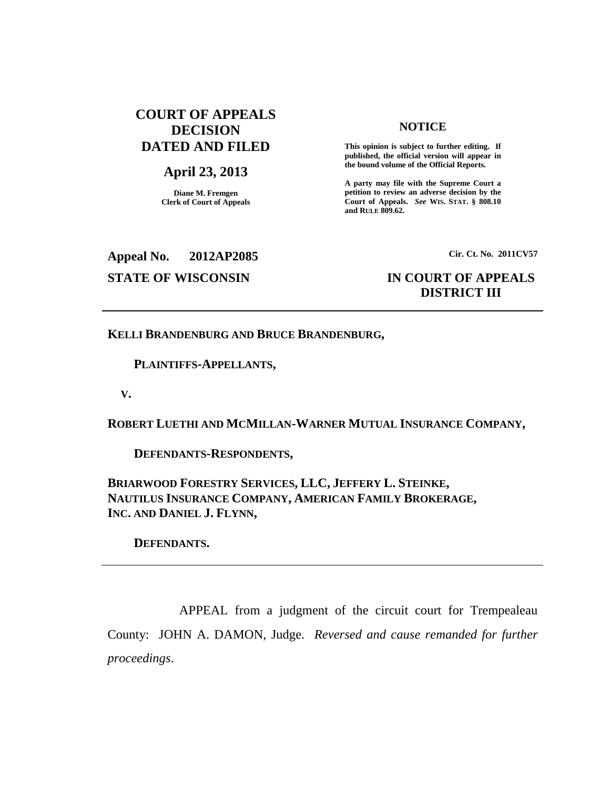# **COURT OF APPEALS DECISION DATED AND FILED**

## **April 23, 2013**

**Diane M. Fremgen Clerk of Court of Appeals**

### **NOTICE**

**This opinion is subject to further editing. If published, the official version will appear in the bound volume of the Official Reports.**

**A party may file with the Supreme Court a petition to review an adverse decision by the Court of Appeals.** *See* **WIS. STAT. § 808.10 and RULE 809.62.**

**Appeal No. 2012AP2085**

#### **Cir. Ct. No. 2011CV57**

# **STATE OF WISCONSIN IN COURT OF APPEALS DISTRICT III**

**KELLI BRANDENBURG AND BRUCE BRANDENBURG,**

**PLAINTIFFS-APPELLANTS,**

**V.**

**ROBERT LUETHI AND MCMILLAN-WARNER MUTUAL INSURANCE COMPANY,**

**DEFENDANTS-RESPONDENTS,**

**BRIARWOOD FORESTRY SERVICES, LLC, JEFFERY L. STEINKE, NAUTILUS INSURANCE COMPANY, AMERICAN FAMILY BROKERAGE, INC. AND DANIEL J. FLYNN,**

**DEFENDANTS.**

APPEAL from a judgment of the circuit court for Trempealeau County: JOHN A. DAMON, Judge. *Reversed and cause remanded for further proceedings*.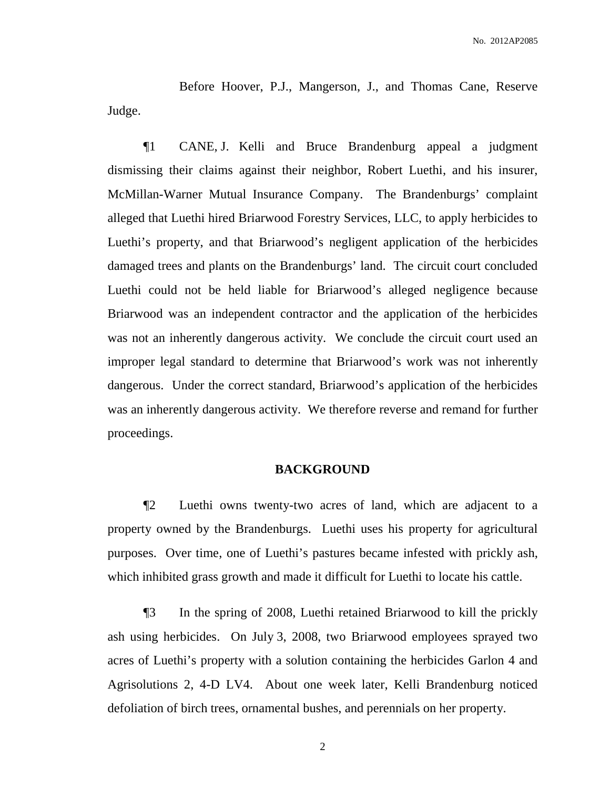Before Hoover, P.J., Mangerson, J., and Thomas Cane, Reserve Judge.

¶1 CANE, J. Kelli and Bruce Brandenburg appeal a judgment dismissing their claims against their neighbor, Robert Luethi, and his insurer, McMillan-Warner Mutual Insurance Company. The Brandenburgs' complaint alleged that Luethi hired Briarwood Forestry Services, LLC, to apply herbicides to Luethi's property, and that Briarwood's negligent application of the herbicides damaged trees and plants on the Brandenburgs' land. The circuit court concluded Luethi could not be held liable for Briarwood's alleged negligence because Briarwood was an independent contractor and the application of the herbicides was not an inherently dangerous activity. We conclude the circuit court used an improper legal standard to determine that Briarwood's work was not inherently dangerous. Under the correct standard, Briarwood's application of the herbicides was an inherently dangerous activity. We therefore reverse and remand for further proceedings.

#### **BACKGROUND**

¶2 Luethi owns twenty-two acres of land, which are adjacent to a property owned by the Brandenburgs. Luethi uses his property for agricultural purposes. Over time, one of Luethi's pastures became infested with prickly ash, which inhibited grass growth and made it difficult for Luethi to locate his cattle.

¶3 In the spring of 2008, Luethi retained Briarwood to kill the prickly ash using herbicides. On July 3, 2008, two Briarwood employees sprayed two acres of Luethi's property with a solution containing the herbicides Garlon 4 and Agrisolutions 2, 4-D LV4. About one week later, Kelli Brandenburg noticed defoliation of birch trees, ornamental bushes, and perennials on her property.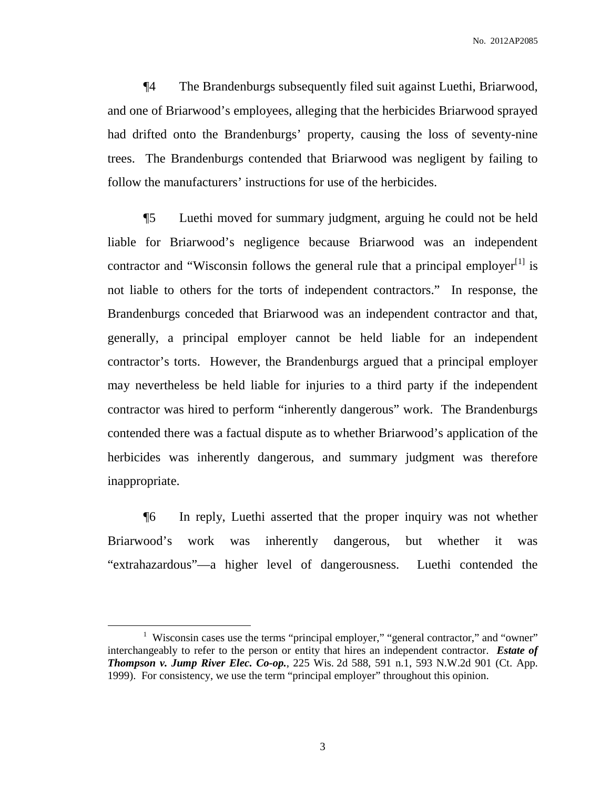No. 2012AP2085

¶4 The Brandenburgs subsequently filed suit against Luethi, Briarwood, and one of Briarwood's employees, alleging that the herbicides Briarwood sprayed had drifted onto the Brandenburgs' property, causing the loss of seventy-nine trees. The Brandenburgs contended that Briarwood was negligent by failing to follow the manufacturers' instructions for use of the herbicides.

¶5 Luethi moved for summary judgment, arguing he could not be held liable for Briarwood's negligence because Briarwood was an independent contractor and "Wisconsin follows the general rule that a principal employer $^{[1]}$  is not liable to others for the torts of independent contractors." In response, the Brandenburgs conceded that Briarwood was an independent contractor and that, generally, a principal employer cannot be held liable for an independent contractor's torts. However, the Brandenburgs argued that a principal employer may nevertheless be held liable for injuries to a third party if the independent contractor was hired to perform "inherently dangerous" work. The Brandenburgs contended there was a factual dispute as to whether Briarwood's application of the herbicides was inherently dangerous, and summary judgment was therefore inappropriate.

¶6 In reply, Luethi asserted that the proper inquiry was not whether Briarwood's work was inherently dangerous, but whether it was "extrahazardous"—a higher level of dangerousness. Luethi contended the

<sup>&</sup>lt;sup>1</sup> Wisconsin cases use the terms "principal employer," "general contractor," and "owner" interchangeably to refer to the person or entity that hires an independent contractor. *Estate of Thompson v. Jump River Elec. Co-op.*, 225 Wis. 2d 588, 591 n.1, 593 N.W.2d 901 (Ct. App. 1999). For consistency, we use the term "principal employer" throughout this opinion.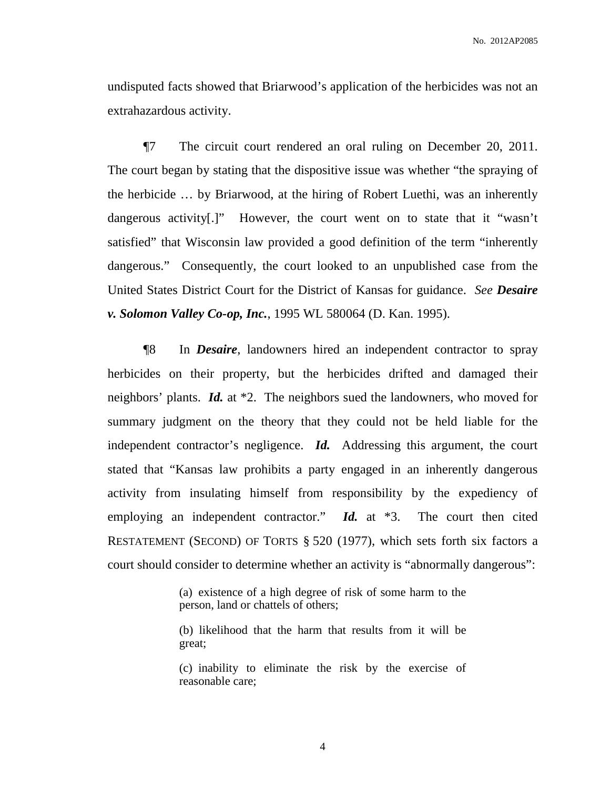undisputed facts showed that Briarwood's application of the herbicides was not an extrahazardous activity.

¶7 The circuit court rendered an oral ruling on December 20, 2011. The court began by stating that the dispositive issue was whether "the spraying of the herbicide … by Briarwood, at the hiring of Robert Luethi, was an inherently dangerous activity[.]" However, the court went on to state that it "wasn't satisfied" that Wisconsin law provided a good definition of the term "inherently dangerous." Consequently, the court looked to an unpublished case from the United States District Court for the District of Kansas for guidance. *See Desaire v. Solomon Valley Co-op, Inc.*, 1995 WL 580064 (D. Kan. 1995).

¶8 In *Desaire*, landowners hired an independent contractor to spray herbicides on their property, but the herbicides drifted and damaged their neighbors' plants. *Id.* at \*2. The neighbors sued the landowners, who moved for summary judgment on the theory that they could not be held liable for the independent contractor's negligence. *Id.* Addressing this argument, the court stated that "Kansas law prohibits a party engaged in an inherently dangerous activity from insulating himself from responsibility by the expediency of employing an independent contractor." *Id.* at \*3. The court then cited RESTATEMENT (SECOND) OF TORTS § 520 (1977), which sets forth six factors a court should consider to determine whether an activity is "abnormally dangerous":

> (a) existence of a high degree of risk of some harm to the person, land or chattels of others;

> (b) likelihood that the harm that results from it will be great;

> (c) inability to eliminate the risk by the exercise of reasonable care;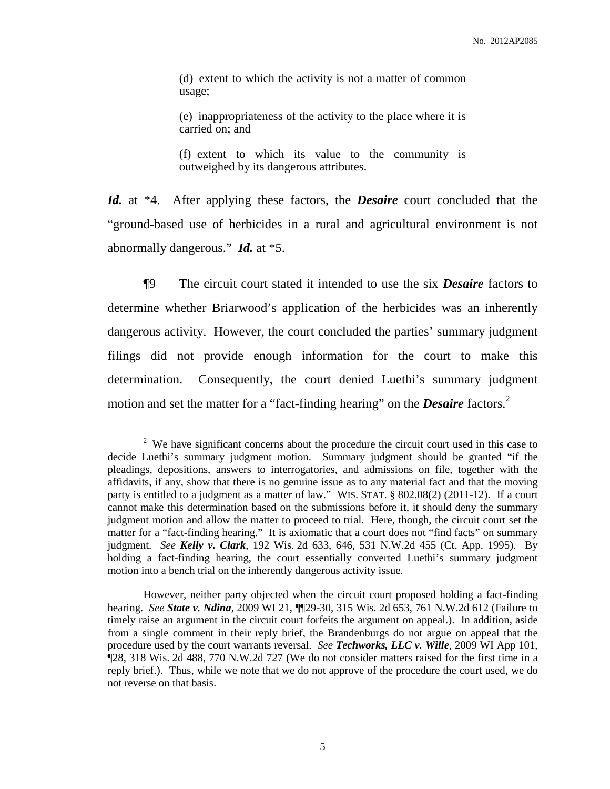(d) extent to which the activity is not a matter of common usage;

(e) inappropriateness of the activity to the place where it is carried on; and

(f) extent to which its value to the community is outweighed by its dangerous attributes.

*Id.* at \*4. After applying these factors, the *Desaire* court concluded that the "ground-based use of herbicides in a rural and agricultural environment is not abnormally dangerous." *Id.* at \*5.

¶9 The circuit court stated it intended to use the six *Desaire* factors to determine whether Briarwood's application of the herbicides was an inherently dangerous activity. However, the court concluded the parties' summary judgment filings did not provide enough information for the court to make this determination. Consequently, the court denied Luethi's summary judgment motion and set the matter for a "fact-finding hearing" on the *Desaire* factors. 2

<sup>&</sup>lt;sup>2</sup> We have significant concerns about the procedure the circuit court used in this case to decide Luethi's summary judgment motion. Summary judgment should be granted "if the pleadings, depositions, answers to interrogatories, and admissions on file, together with the affidavits, if any, show that there is no genuine issue as to any material fact and that the moving party is entitled to a judgment as a matter of law." WIS. STAT. § 802.08(2) (2011-12). If a court cannot make this determination based on the submissions before it, it should deny the summary judgment motion and allow the matter to proceed to trial. Here, though, the circuit court set the matter for a "fact-finding hearing." It is axiomatic that a court does not "find facts" on summary judgment. *See Kelly v. Clark*, 192 Wis. 2d 633, 646, 531 N.W.2d 455 (Ct. App. 1995). By holding a fact-finding hearing, the court essentially converted Luethi's summary judgment motion into a bench trial on the inherently dangerous activity issue.

However, neither party objected when the circuit court proposed holding a fact-finding hearing. *See State v. Ndina*, 2009 WI 21, ¶¶29-30, 315 Wis. 2d 653, 761 N.W.2d 612 (Failure to timely raise an argument in the circuit court forfeits the argument on appeal.). In addition, aside from a single comment in their reply brief, the Brandenburgs do not argue on appeal that the procedure used by the court warrants reversal. *See Techworks, LLC v. Wille,* 2009 WI App 101, ¶28, 318 Wis. 2d 488, 770 N.W.2d 727 (We do not consider matters raised for the first time in a reply brief.). Thus, while we note that we do not approve of the procedure the court used, we do not reverse on that basis.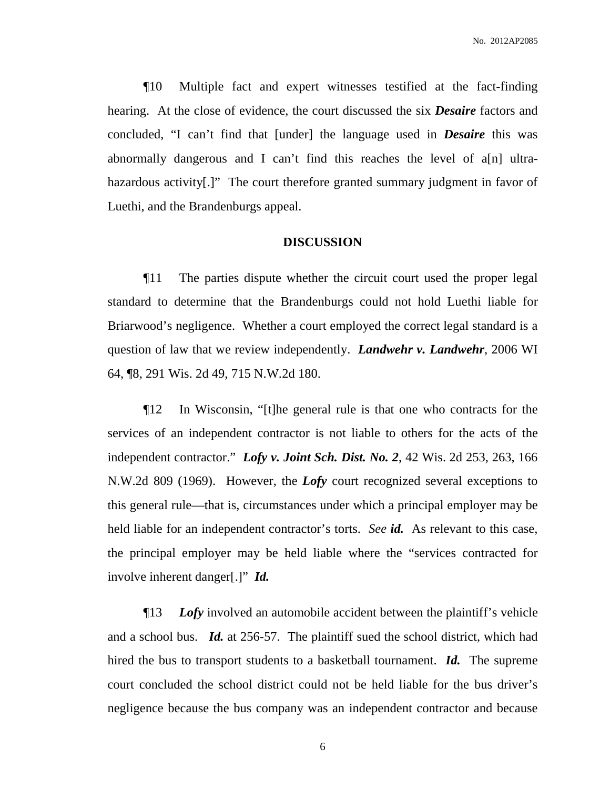¶10 Multiple fact and expert witnesses testified at the fact-finding hearing. At the close of evidence, the court discussed the six *Desaire* factors and concluded, "I can't find that [under] the language used in *Desaire* this was abnormally dangerous and I can't find this reaches the level of a[n] ultrahazardous activity.]" The court therefore granted summary judgment in favor of Luethi, and the Brandenburgs appeal.

#### **DISCUSSION**

¶11 The parties dispute whether the circuit court used the proper legal standard to determine that the Brandenburgs could not hold Luethi liable for Briarwood's negligence. Whether a court employed the correct legal standard is a question of law that we review independently. *Landwehr v. Landwehr*, 2006 WI 64, ¶8, 291 Wis. 2d 49, 715 N.W.2d 180.

¶12 In Wisconsin, "[t]he general rule is that one who contracts for the services of an independent contractor is not liable to others for the acts of the independent contractor." *Lofy v. Joint Sch. Dist. No. 2*, 42 Wis. 2d 253, 263, 166 N.W.2d 809 (1969). However, the *Lofy* court recognized several exceptions to this general rule—that is, circumstances under which a principal employer may be held liable for an independent contractor's torts. *See id.* As relevant to this case, the principal employer may be held liable where the "services contracted for involve inherent danger[.]" *Id.*

¶13 *Lofy* involved an automobile accident between the plaintiff's vehicle and a school bus. *Id.* at 256-57. The plaintiff sued the school district, which had hired the bus to transport students to a basketball tournament. *Id.* The supreme court concluded the school district could not be held liable for the bus driver's negligence because the bus company was an independent contractor and because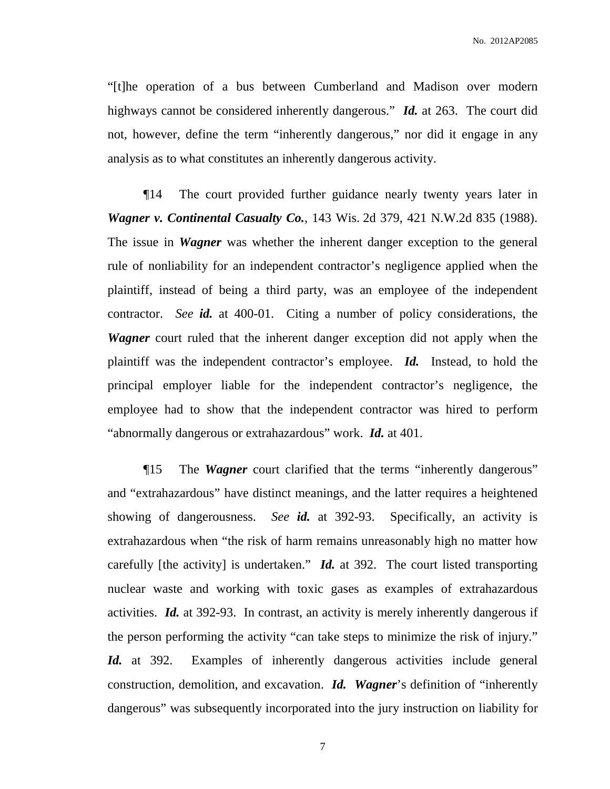"[t]he operation of a bus between Cumberland and Madison over modern highways cannot be considered inherently dangerous." *Id.* at 263. The court did not, however, define the term "inherently dangerous," nor did it engage in any analysis as to what constitutes an inherently dangerous activity.

¶14 The court provided further guidance nearly twenty years later in *Wagner v. Continental Casualty Co.*, 143 Wis. 2d 379, 421 N.W.2d 835 (1988). The issue in *Wagner* was whether the inherent danger exception to the general rule of nonliability for an independent contractor's negligence applied when the plaintiff, instead of being a third party, was an employee of the independent contractor. *See id.* at 400-01. Citing a number of policy considerations, the *Wagner* court ruled that the inherent danger exception did not apply when the plaintiff was the independent contractor's employee. *Id.* Instead, to hold the principal employer liable for the independent contractor's negligence, the employee had to show that the independent contractor was hired to perform "abnormally dangerous or extrahazardous" work. *Id.* at 401.

¶15 The *Wagner* court clarified that the terms "inherently dangerous" and "extrahazardous" have distinct meanings, and the latter requires a heightened showing of dangerousness. *See id.* at 392-93. Specifically, an activity is extrahazardous when "the risk of harm remains unreasonably high no matter how carefully [the activity] is undertaken." *Id.* at 392. The court listed transporting nuclear waste and working with toxic gases as examples of extrahazardous activities. *Id.* at 392-93. In contrast, an activity is merely inherently dangerous if the person performing the activity "can take steps to minimize the risk of injury." Id. at 392. Examples of inherently dangerous activities include general construction, demolition, and excavation. *Id. Wagner*'s definition of "inherently dangerous" was subsequently incorporated into the jury instruction on liability for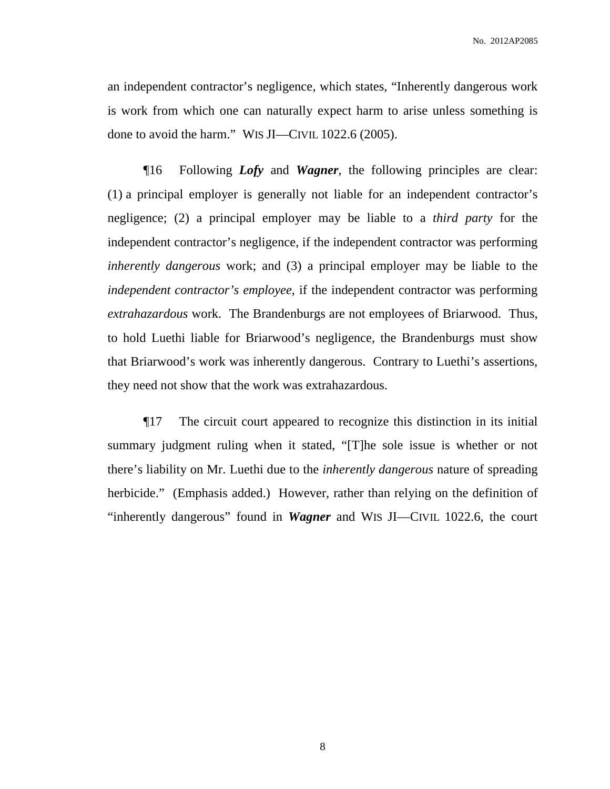an independent contractor's negligence, which states, "Inherently dangerous work is work from which one can naturally expect harm to arise unless something is done to avoid the harm." WIS JI—CIVIL 1022.6 (2005).

¶16 Following *Lofy* and *Wagner*, the following principles are clear: (1) a principal employer is generally not liable for an independent contractor's negligence; (2) a principal employer may be liable to a *third party* for the independent contractor's negligence, if the independent contractor was performing *inherently dangerous* work; and (3) a principal employer may be liable to the *independent contractor's employee*, if the independent contractor was performing *extrahazardous* work. The Brandenburgs are not employees of Briarwood. Thus, to hold Luethi liable for Briarwood's negligence, the Brandenburgs must show that Briarwood's work was inherently dangerous. Contrary to Luethi's assertions, they need not show that the work was extrahazardous.

¶17 The circuit court appeared to recognize this distinction in its initial summary judgment ruling when it stated, "[T]he sole issue is whether or not there's liability on Mr. Luethi due to the *inherently dangerous* nature of spreading herbicide." (Emphasis added.) However, rather than relying on the definition of "inherently dangerous" found in *Wagner* and WIS JI—CIVIL 1022.6, the court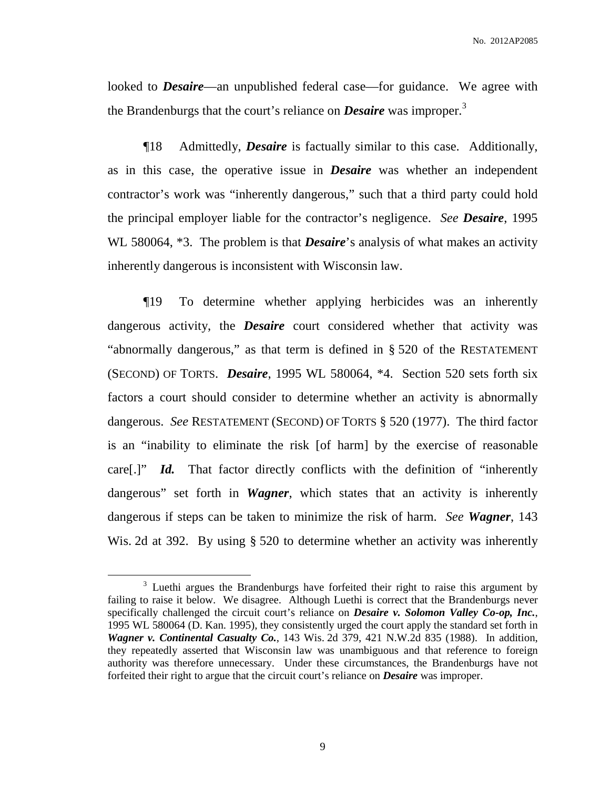No. 2012AP2085

looked to *Desaire*—an unpublished federal case—for guidance. We agree with the Brandenburgs that the court's reliance on *Desaire* was improper. 3

¶18 Admittedly, *Desaire* is factually similar to this case. Additionally, as in this case, the operative issue in *Desaire* was whether an independent contractor's work was "inherently dangerous," such that a third party could hold the principal employer liable for the contractor's negligence. *See Desaire*, 1995 WL 580064, \*3. The problem is that *Desaire*'s analysis of what makes an activity inherently dangerous is inconsistent with Wisconsin law.

¶19 To determine whether applying herbicides was an inherently dangerous activity, the *Desaire* court considered whether that activity was "abnormally dangerous," as that term is defined in § 520 of the RESTATEMENT (SECOND) OF TORTS. *Desaire*, 1995 WL 580064, \*4. Section 520 sets forth six factors a court should consider to determine whether an activity is abnormally dangerous. *See* RESTATEMENT (SECOND) OF TORTS § 520 (1977). The third factor is an "inability to eliminate the risk [of harm] by the exercise of reasonable care[.]" *Id.* That factor directly conflicts with the definition of "inherently dangerous" set forth in *Wagner*, which states that an activity is inherently dangerous if steps can be taken to minimize the risk of harm. *See Wagner*, 143 Wis. 2d at 392. By using § 520 to determine whether an activity was inherently

<sup>&</sup>lt;sup>3</sup> Luethi argues the Brandenburgs have forfeited their right to raise this argument by failing to raise it below. We disagree. Although Luethi is correct that the Brandenburgs never specifically challenged the circuit court's reliance on *Desaire v. Solomon Valley Co-op, Inc.*, 1995 WL 580064 (D. Kan. 1995), they consistently urged the court apply the standard set forth in *Wagner v. Continental Casualty Co.*, 143 Wis. 2d 379, 421 N.W.2d 835 (1988). In addition, they repeatedly asserted that Wisconsin law was unambiguous and that reference to foreign authority was therefore unnecessary. Under these circumstances, the Brandenburgs have not forfeited their right to argue that the circuit court's reliance on *Desaire* was improper.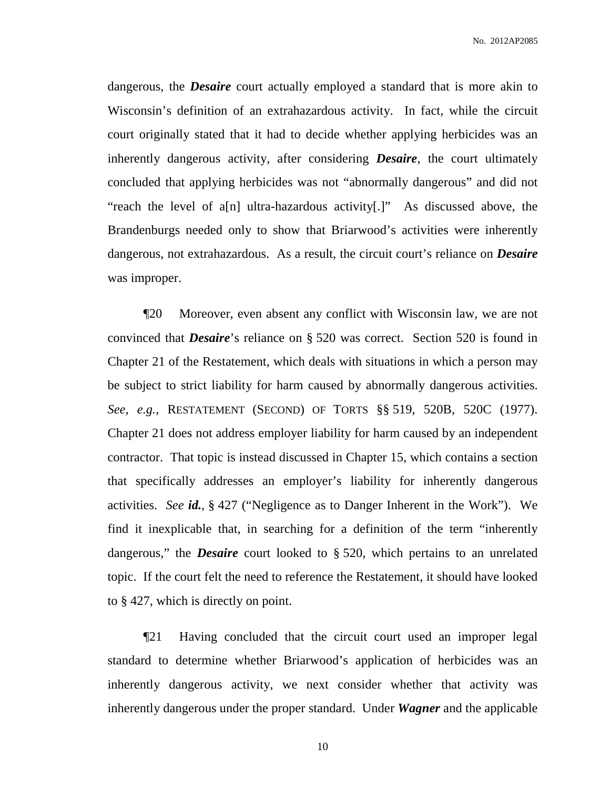dangerous, the *Desaire* court actually employed a standard that is more akin to Wisconsin's definition of an extrahazardous activity. In fact, while the circuit court originally stated that it had to decide whether applying herbicides was an inherently dangerous activity, after considering *Desaire*, the court ultimately concluded that applying herbicides was not "abnormally dangerous" and did not "reach the level of a[n] ultra-hazardous activity[.]" As discussed above, the Brandenburgs needed only to show that Briarwood's activities were inherently dangerous, not extrahazardous. As a result, the circuit court's reliance on *Desaire* was improper.

¶20 Moreover, even absent any conflict with Wisconsin law, we are not convinced that *Desaire*'s reliance on § 520 was correct. Section 520 is found in Chapter 21 of the Restatement, which deals with situations in which a person may be subject to strict liability for harm caused by abnormally dangerous activities. *See, e.g.*, RESTATEMENT (SECOND) OF TORTS §§ 519, 520B, 520C (1977). Chapter 21 does not address employer liability for harm caused by an independent contractor. That topic is instead discussed in Chapter 15, which contains a section that specifically addresses an employer's liability for inherently dangerous activities. *See id.*, § 427 ("Negligence as to Danger Inherent in the Work"). We find it inexplicable that, in searching for a definition of the term "inherently dangerous," the *Desaire* court looked to § 520, which pertains to an unrelated topic. If the court felt the need to reference the Restatement, it should have looked to § 427, which is directly on point.

¶21 Having concluded that the circuit court used an improper legal standard to determine whether Briarwood's application of herbicides was an inherently dangerous activity, we next consider whether that activity was inherently dangerous under the proper standard. Under *Wagner* and the applicable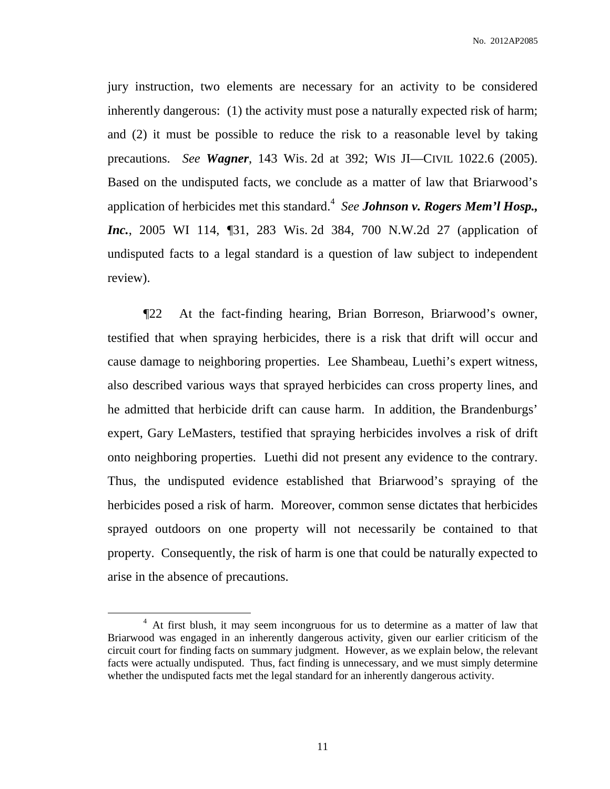No. 2012AP2085

jury instruction, two elements are necessary for an activity to be considered inherently dangerous: (1) the activity must pose a naturally expected risk of harm; and (2) it must be possible to reduce the risk to a reasonable level by taking precautions. *See Wagner*, 143 Wis. 2d at 392; WIS JI—CIVIL 1022.6 (2005). Based on the undisputed facts, we conclude as a matter of law that Briarwood's application of herbicides met this standard. 4 *See Johnson v. Rogers Mem'l Hosp., Inc.*, 2005 WI 114, ¶31, 283 Wis. 2d 384, 700 N.W.2d 27 (application of undisputed facts to a legal standard is a question of law subject to independent review).

¶22 At the fact-finding hearing, Brian Borreson, Briarwood's owner, testified that when spraying herbicides, there is a risk that drift will occur and cause damage to neighboring properties. Lee Shambeau, Luethi's expert witness, also described various ways that sprayed herbicides can cross property lines, and he admitted that herbicide drift can cause harm. In addition, the Brandenburgs' expert, Gary LeMasters, testified that spraying herbicides involves a risk of drift onto neighboring properties. Luethi did not present any evidence to the contrary. Thus, the undisputed evidence established that Briarwood's spraying of the herbicides posed a risk of harm. Moreover, common sense dictates that herbicides sprayed outdoors on one property will not necessarily be contained to that property. Consequently, the risk of harm is one that could be naturally expected to arise in the absence of precautions.

<sup>&</sup>lt;sup>4</sup> At first blush, it may seem incongruous for us to determine as a matter of law that Briarwood was engaged in an inherently dangerous activity, given our earlier criticism of the circuit court for finding facts on summary judgment. However, as we explain below, the relevant facts were actually undisputed. Thus, fact finding is unnecessary, and we must simply determine whether the undisputed facts met the legal standard for an inherently dangerous activity.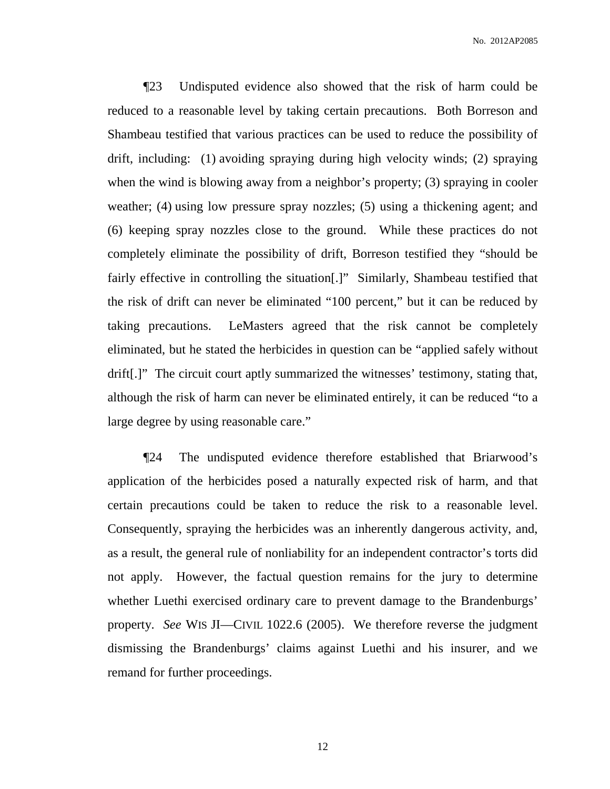¶23 Undisputed evidence also showed that the risk of harm could be reduced to a reasonable level by taking certain precautions. Both Borreson and Shambeau testified that various practices can be used to reduce the possibility of drift, including: (1) avoiding spraying during high velocity winds; (2) spraying when the wind is blowing away from a neighbor's property; (3) spraying in cooler weather; (4) using low pressure spray nozzles; (5) using a thickening agent; and (6) keeping spray nozzles close to the ground. While these practices do not completely eliminate the possibility of drift, Borreson testified they "should be fairly effective in controlling the situation[.]" Similarly, Shambeau testified that the risk of drift can never be eliminated "100 percent," but it can be reduced by taking precautions. LeMasters agreed that the risk cannot be completely eliminated, but he stated the herbicides in question can be "applied safely without drift[.]" The circuit court aptly summarized the witnesses' testimony, stating that, although the risk of harm can never be eliminated entirely, it can be reduced "to a large degree by using reasonable care."

¶24 The undisputed evidence therefore established that Briarwood's application of the herbicides posed a naturally expected risk of harm, and that certain precautions could be taken to reduce the risk to a reasonable level. Consequently, spraying the herbicides was an inherently dangerous activity, and, as a result, the general rule of nonliability for an independent contractor's torts did not apply. However, the factual question remains for the jury to determine whether Luethi exercised ordinary care to prevent damage to the Brandenburgs' property. *See* WIS JI—CIVIL 1022.6 (2005). We therefore reverse the judgment dismissing the Brandenburgs' claims against Luethi and his insurer, and we remand for further proceedings.